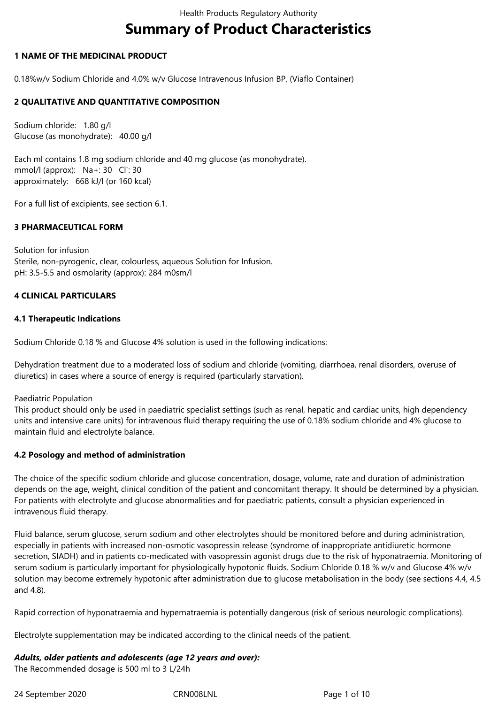# **Summary of Product Characteristics**

#### **1 NAME OF THE MEDICINAL PRODUCT**

0.18%w/v Sodium Chloride and 4.0% w/v Glucose Intravenous Infusion BP, (Viaflo Container)

## **2 QUALITATIVE AND QUANTITATIVE COMPOSITION**

Sodium chloride: 1.80 g/l Glucose (as monohydrate): 40.00 g/l

Each ml contains 1.8 mg sodium chloride and 40 mg glucose (as monohydrate). mmol/l (approx): Na+: 30 Cl<sup>-</sup>: 30 approximately: 668 kJ/l (or 160 kcal)

For a full list of excipients, see section 6.1.

## **3 PHARMACEUTICAL FORM**

Solution for infusion Sterile, non-pyrogenic, clear, colourless, aqueous Solution for Infusion. pH: 3.5-5.5 and osmolarity (approx): 284 m0sm/l

## **4 CLINICAL PARTICULARS**

## **4.1 Therapeutic Indications**

Sodium Chloride 0.18 % and Glucose 4% solution is used in the following indications:

Dehydration treatment due to a moderated loss of sodium and chloride (vomiting, diarrhoea, renal disorders, overuse of diuretics) in cases where a source of energy is required (particularly starvation).

#### Paediatric Population

This product should only be used in paediatric specialist settings (such as renal, hepatic and cardiac units, high dependency units and intensive care units) for intravenous fluid therapy requiring the use of 0.18% sodium chloride and 4% glucose to maintain fluid and electrolyte balance.

#### **4.2 Posology and method of administration**

The choice of the specific sodium chloride and glucose concentration, dosage, volume, rate and duration of administration depends on the age, weight, clinical condition of the patient and concomitant therapy. It should be determined by a physician. For patients with electrolyte and glucose abnormalities and for paediatric patients, consult a physician experienced in intravenous fluid therapy.

Fluid balance, serum glucose, serum sodium and other electrolytes should be monitored before and during administration, especially in patients with increased non-osmotic vasopressin release (syndrome of inappropriate antidiuretic hormone secretion, SIADH) and in patients co-medicated with vasopressin agonist drugs due to the risk of hyponatraemia. Monitoring of serum sodium is particularly important for physiologically hypotonic fluids. Sodium Chloride 0.18 % w/v and Glucose 4% w/v solution may become extremely hypotonic after administration due to glucose metabolisation in the body (see sections 4.4, 4.5 and 4.8).

Rapid correction of hyponatraemia and hypernatraemia is potentially dangerous (risk of serious neurologic complications).

Electrolyte supplementation may be indicated according to the clinical needs of the patient.

#### *Adults, older patients and adolescents (age 12 years and over):*

The Recommended dosage is 500 ml to 3 L/24h

24 September 2020 CRN008LNL Page 1 of 10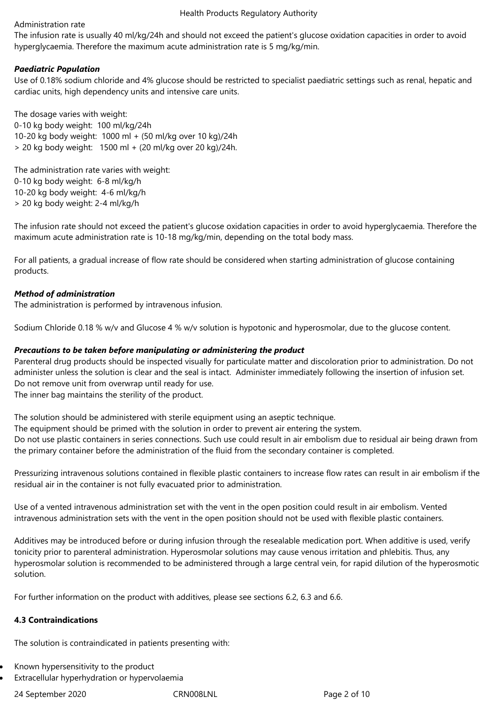## Administration rate

The infusion rate is usually 40 ml/kg/24h and should not exceed the patient's glucose oxidation capacities in order to avoid hyperglycaemia. Therefore the maximum acute administration rate is 5 mg/kg/min.

# *Paediatric Population*

Use of 0.18% sodium chloride and 4% glucose should be restricted to specialist paediatric settings such as renal, hepatic and cardiac units, high dependency units and intensive care units.

The dosage varies with weight: 0-10 kg body weight: 100 ml/kg/24h 10-20 kg body weight: 1000 ml + (50 ml/kg over 10 kg)/24h > 20 kg body weight: 1500 ml + (20 ml/kg over 20 kg)/24h.

The administration rate varies with weight: 0-10 kg body weight: 6-8 ml/kg/h 10-20 kg body weight: 4-6 ml/kg/h > 20 kg body weight: 2-4 ml/kg/h

The infusion rate should not exceed the patient's glucose oxidation capacities in order to avoid hyperglycaemia. Therefore the maximum acute administration rate is 10-18 mg/kg/min, depending on the total body mass.

For all patients, a gradual increase of flow rate should be considered when starting administration of glucose containing products.

# *Method of administration*

The administration is performed by intravenous infusion.

Sodium Chloride 0.18 % w/v and Glucose 4 % w/v solution is hypotonic and hyperosmolar, due to the glucose content.

## *Precautions to be taken before manipulating or administering the product*

Parenteral drug products should be inspected visually for particulate matter and discoloration prior to administration. Do not administer unless the solution is clear and the seal is intact. Administer immediately following the insertion of infusion set. Do not remove unit from overwrap until ready for use.

The inner bag maintains the sterility of the product.

The solution should be administered with sterile equipment using an aseptic technique.

The equipment should be primed with the solution in order to prevent air entering the system.

Do not use plastic containers in series connections. Such use could result in air embolism due to residual air being drawn from the primary container before the administration of the fluid from the secondary container is completed.

Pressurizing intravenous solutions contained in flexible plastic containers to increase flow rates can result in air embolism if the residual air in the container is not fully evacuated prior to administration.

Use of a vented intravenous administration set with the vent in the open position could result in air embolism. Vented intravenous administration sets with the vent in the open position should not be used with flexible plastic containers.

Additives may be introduced before or during infusion through the resealable medication port. When additive is used, verify tonicity prior to parenteral administration. Hyperosmolar solutions may cause venous irritation and phlebitis. Thus, any hyperosmolar solution is recommended to be administered through a large central vein, for rapid dilution of the hyperosmotic solution.

For further information on the product with additives, please see sections 6.2, 6.3 and 6.6.

# **4.3 Contraindications**

The solution is contraindicated in patients presenting with:

- Known hypersensitivity to the product
- Extracellular hyperhydration or hypervolaemia

24 September 2020 CRN008LNL Page 2 of 10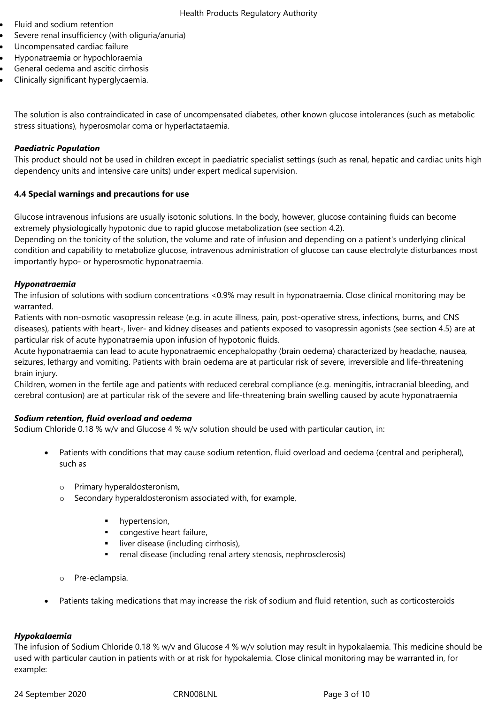- Fluid and sodium retention
- Severe renal insufficiency (with oliguria/anuria)
- Uncompensated cardiac failure
- Hyponatraemia or hypochloraemia
- General oedema and ascitic cirrhosis
- Clinically significant hyperglycaemia.

The solution is also contraindicated in case of uncompensated diabetes, other known glucose intolerances (such as metabolic stress situations), hyperosmolar coma or hyperlactataemia.

#### *Paediatric Population*

This product should not be used in children except in paediatric specialist settings (such as renal, hepatic and cardiac units high dependency units and intensive care units) under expert medical supervision.

## **4.4 Special warnings and precautions for use**

Glucose intravenous infusions are usually isotonic solutions. In the body, however, glucose containing fluids can become extremely physiologically hypotonic due to rapid glucose metabolization (see section 4.2).

Depending on the tonicity of the solution, the volume and rate of infusion and depending on a patient's underlying clinical condition and capability to metabolize glucose, intravenous administration of glucose can cause electrolyte disturbances most importantly hypo- or hyperosmotic hyponatraemia.

## *Hyponatraemia*

The infusion of solutions with sodium concentrations <0.9% may result in hyponatraemia. Close clinical monitoring may be warranted.

Patients with non-osmotic vasopressin release (e.g. in acute illness, pain, post-operative stress, infections, burns, and CNS diseases), patients with heart-, liver- and kidney diseases and patients exposed to vasopressin agonists (see section 4.5) are at particular risk of acute hyponatraemia upon infusion of hypotonic fluids.

Acute hyponatraemia can lead to acute hyponatraemic encephalopathy (brain oedema) characterized by headache, nausea, seizures, lethargy and vomiting. Patients with brain oedema are at particular risk of severe, irreversible and life-threatening brain injury.

Children, women in the fertile age and patients with reduced cerebral compliance (e.g. meningitis, intracranial bleeding, and cerebral contusion) are at particular risk of the severe and life-threatening brain swelling caused by acute hyponatraemia

# *Sodium retention, fluid overload and oedema*

Sodium Chloride 0.18 % w/v and Glucose 4 % w/v solution should be used with particular caution, in:

- Patients with conditions that may cause sodium retention, fluid overload and oedema (central and peripheral), such as
	- o Primary hyperaldosteronism,
	- o Secondary hyperaldosteronism associated with, for example,
		- hypertension,
		- **CONDUCTS** congestive heart failure,
		- **I** liver disease (including cirrhosis),
		- renal disease (including renal artery stenosis, nephrosclerosis)
	- o Pre-eclampsia.
- Patients taking medications that may increase the risk of sodium and fluid retention, such as corticosteroids

# *Hypokalaemia*

The infusion of Sodium Chloride 0.18 % w/v and Glucose 4 % w/v solution may result in hypokalaemia. This medicine should be used with particular caution in patients with or at risk for hypokalemia. Close clinical monitoring may be warranted in, for example: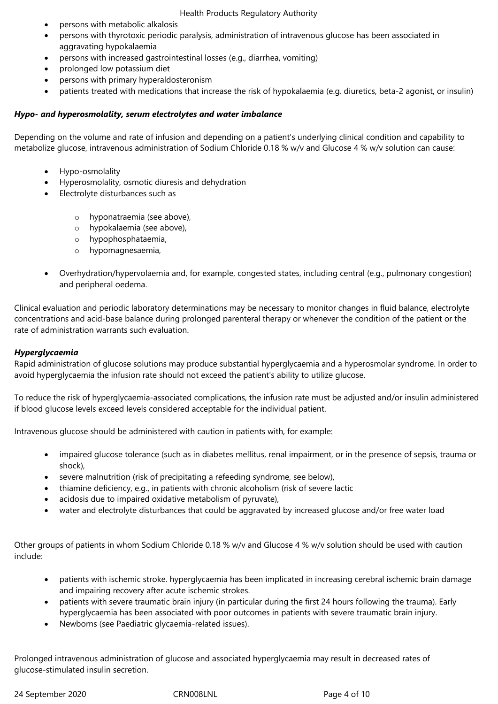- persons with metabolic alkalosis
- persons with thyrotoxic periodic paralysis, administration of intravenous glucose has been associated in aggravating hypokalaemia
- persons with increased gastrointestinal losses (e.g., diarrhea, vomiting)
- prolonged low potassium diet
- persons with primary hyperaldosteronism
- patients treated with medications that increase the risk of hypokalaemia (e.g. diuretics, beta-2 agonist, or insulin)

#### *Hypo- and hyperosmolality, serum electrolytes and water imbalance*

Depending on the volume and rate of infusion and depending on a patient's underlying clinical condition and capability to metabolize glucose, intravenous administration of Sodium Chloride 0.18 % w/v and Glucose 4 % w/v solution can cause:

- Hypo-osmolality
- Hyperosmolality, osmotic diuresis and dehydration
- Electrolyte disturbances such as
	- o hyponatraemia (see above),
	- o hypokalaemia (see above),
	- o hypophosphataemia,
	- o hypomagnesaemia,
- Overhydration/hypervolaemia and, for example, congested states, including central (e.g., pulmonary congestion) and peripheral oedema.

Clinical evaluation and periodic laboratory determinations may be necessary to monitor changes in fluid balance, electrolyte concentrations and acid-base balance during prolonged parenteral therapy or whenever the condition of the patient or the rate of administration warrants such evaluation.

#### *Hyperglycaemia*

Rapid administration of glucose solutions may produce substantial hyperglycaemia and a hyperosmolar syndrome. In order to avoid hyperglycaemia the infusion rate should not exceed the patient's ability to utilize glucose.

To reduce the risk of hyperglycaemia-associated complications, the infusion rate must be adjusted and/or insulin administered if blood glucose levels exceed levels considered acceptable for the individual patient.

Intravenous glucose should be administered with caution in patients with, for example:

- impaired glucose tolerance (such as in diabetes mellitus, renal impairment, or in the presence of sepsis, trauma or shock),
- severe malnutrition (risk of precipitating a refeeding syndrome, see below),
- thiamine deficiency, e.g., in patients with chronic alcoholism (risk of severe lactic
- acidosis due to impaired oxidative metabolism of pyruvate),
- water and electrolyte disturbances that could be aggravated by increased glucose and/or free water load

Other groups of patients in whom Sodium Chloride 0.18 % w/v and Glucose 4 % w/v solution should be used with caution include:

- patients with ischemic stroke. hyperglycaemia has been implicated in increasing cerebral ischemic brain damage and impairing recovery after acute ischemic strokes.
- patients with severe traumatic brain injury (in particular during the first 24 hours following the trauma). Early hyperglycaemia has been associated with poor outcomes in patients with severe traumatic brain injury.
- Newborns (see Paediatric glycaemia-related issues).

Prolonged intravenous administration of glucose and associated hyperglycaemia may result in decreased rates of glucose-stimulated insulin secretion.

24 September 2020 CRN008LNL Page 4 of 10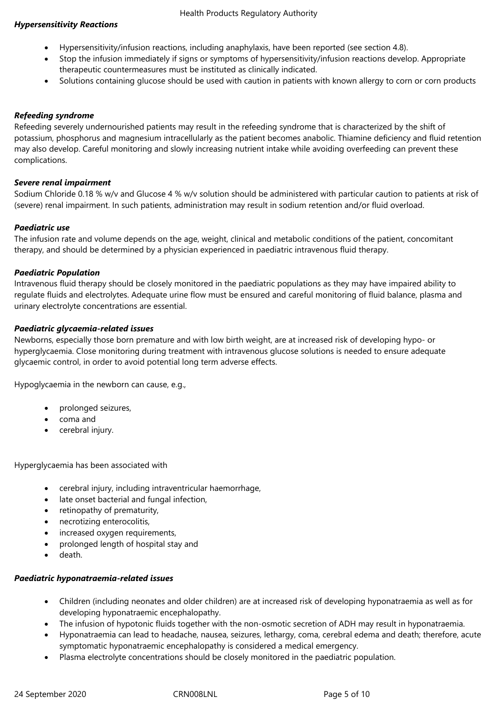## *Hypersensitivity Reactions*

- Hypersensitivity/infusion reactions, including anaphylaxis, have been reported (see section 4.8).
- Stop the infusion immediately if signs or symptoms of hypersensitivity/infusion reactions develop. Appropriate therapeutic countermeasures must be instituted as clinically indicated.
- Solutions containing glucose should be used with caution in patients with known allergy to corn or corn products

## *Refeeding syndrome*

Refeeding severely undernourished patients may result in the refeeding syndrome that is characterized by the shift of potassium, phosphorus and magnesium intracellularly as the patient becomes anabolic. Thiamine deficiency and fluid retention may also develop. Careful monitoring and slowly increasing nutrient intake while avoiding overfeeding can prevent these complications.

## *Severe renal impairment*

Sodium Chloride 0.18 % w/v and Glucose 4 % w/v solution should be administered with particular caution to patients at risk of (severe) renal impairment. In such patients, administration may result in sodium retention and/or fluid overload.

## *Paediatric use*

The infusion rate and volume depends on the age, weight, clinical and metabolic conditions of the patient, concomitant therapy, and should be determined by a physician experienced in paediatric intravenous fluid therapy.

## *Paediatric Population*

Intravenous fluid therapy should be closely monitored in the paediatric populations as they may have impaired ability to regulate fluids and electrolytes. Adequate urine flow must be ensured and careful monitoring of fluid balance, plasma and urinary electrolyte concentrations are essential.

## *Paediatric glycaemia-related issues*

Newborns, especially those born premature and with low birth weight, are at increased risk of developing hypo- or hyperglycaemia. Close monitoring during treatment with intravenous glucose solutions is needed to ensure adequate glycaemic control, in order to avoid potential long term adverse effects.

Hypoglycaemia in the newborn can cause, e.g.,

- prolonged seizures,
- coma and
- cerebral injury.

Hyperglycaemia has been associated with

- cerebral injury, including intraventricular haemorrhage,
- late onset bacterial and fungal infection,
- retinopathy of prematurity,
- necrotizing enterocolitis,
- increased oxygen requirements,
- prolonged length of hospital stay and
- death.

# *Paediatric hyponatraemia-related issues*

- Children (including neonates and older children) are at increased risk of developing hyponatraemia as well as for developing hyponatraemic encephalopathy.
- The infusion of hypotonic fluids together with the non-osmotic secretion of ADH may result in hyponatraemia.
- Hyponatraemia can lead to headache, nausea, seizures, lethargy, coma, cerebral edema and death; therefore, acute symptomatic hyponatraemic encephalopathy is considered a medical emergency.
- Plasma electrolyte concentrations should be closely monitored in the paediatric population.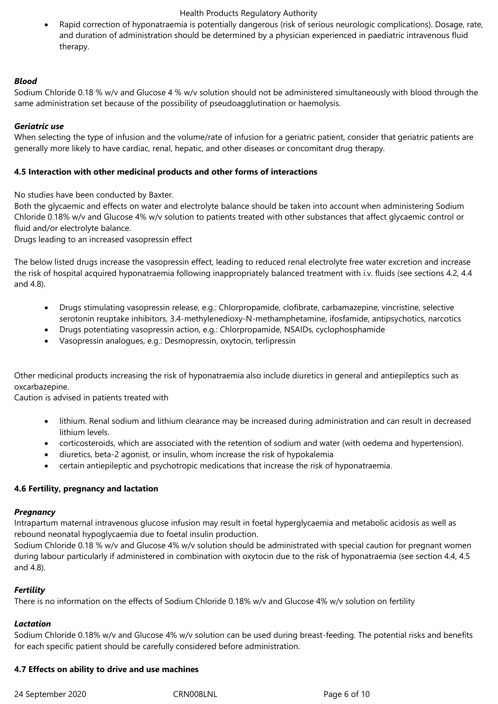Rapid correction of hyponatraemia is potentially dangerous (risk of serious neurologic complications). Dosage, rate, and duration of administration should be determined by a physician experienced in paediatric intravenous fluid therapy.

## *Blood*

Sodium Chloride 0.18 % w/v and Glucose 4 % w/v solution should not be administered simultaneously with blood through the same administration set because of the possibility of pseudoagglutination or haemolysis.

## *Geriatric use*

When selecting the type of infusion and the volume/rate of infusion for a geriatric patient, consider that geriatric patients are generally more likely to have cardiac, renal, hepatic, and other diseases or concomitant drug therapy.

## **4.5 Interaction with other medicinal products and other forms of interactions**

No studies have been conducted by Baxter.

Both the glycaemic and effects on water and electrolyte balance should be taken into account when administering Sodium Chloride 0.18% w/v and Glucose 4% w/v solution to patients treated with other substances that affect glycaemic control or fluid and/or electrolyte balance.

Drugs leading to an increased vasopressin effect

The below listed drugs increase the vasopressin effect, leading to reduced renal electrolyte free water excretion and increase the risk of hospital acquired hyponatraemia following inappropriately balanced treatment with i.v. fluids (see sections 4.2, 4.4 and 4.8).

- Drugs stimulating vasopressin release, e.g.: Chlorpropamide, clofibrate, carbamazepine, vincristine, selective serotonin reuptake inhibitors, 3.4-methylenedioxy-N-methamphetamine, ifosfamide, antipsychotics, narcotics
- Drugs potentiating vasopressin action, e.g.: Chlorpropamide, NSAIDs, cyclophosphamide
- Vasopressin analogues, e.g.: Desmopressin, oxytocin, terlipressin

Other medicinal products increasing the risk of hyponatraemia also include diuretics in general and antiepileptics such as oxcarbazepine.

Caution is advised in patients treated with

- lithium. Renal sodium and lithium clearance may be increased during administration and can result in decreased lithium levels.
- corticosteroids, which are associated with the retention of sodium and water (with oedema and hypertension).
- diuretics, beta-2 agonist, or insulin, whom increase the risk of hypokalemia
- certain antiepileptic and psychotropic medications that increase the risk of hyponatraemia.

# **4.6 Fertility, pregnancy and lactation**

#### *Pregnancy*

Intrapartum maternal intravenous glucose infusion may result in foetal hyperglycaemia and metabolic acidosis as well as rebound neonatal hypoglycaemia due to foetal insulin production.

Sodium Chloride 0.18 % w/v and Glucose 4% w/v solution should be administrated with special caution for pregnant women during labour particularly if administered in combination with oxytocin due to the risk of hyponatraemia (see section 4.4, 4.5 and 4.8).

# *Fertility*

There is no information on the effects of Sodium Chloride 0.18% w/v and Glucose 4% w/v solution on fertility

#### *Lactation*

Sodium Chloride 0.18% w/v and Glucose 4% w/v solution can be used during breast-feeding. The potential risks and benefits for each specific patient should be carefully considered before administration.

#### **4.7 Effects on ability to drive and use machines**

24 September 2020 CRN008LNL Page 6 of 10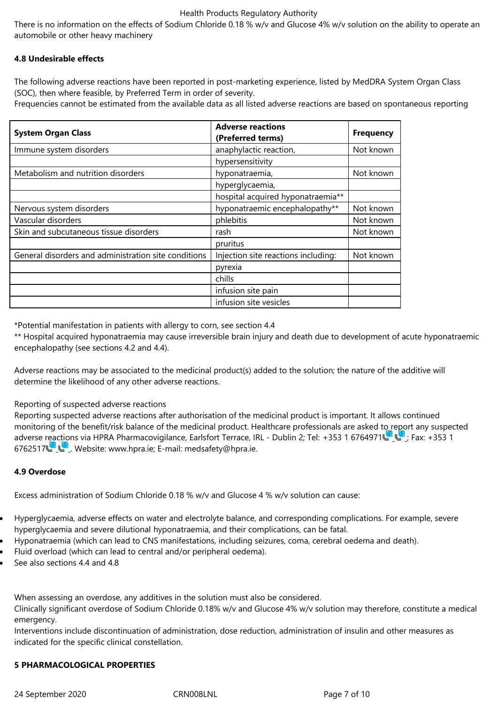#### **4.8 Undesirable effects**

The following adverse reactions have been reported in post-marketing experience, listed by MedDRA System Organ Class (SOC), then where feasible, by Preferred Term in order of severity.

Frequencies cannot be estimated from the available data as all listed adverse reactions are based on spontaneous reporting

| <b>System Organ Class</b>                            | <b>Adverse reactions</b><br>(Preferred terms) | <b>Frequency</b> |
|------------------------------------------------------|-----------------------------------------------|------------------|
| Immune system disorders                              | anaphylactic reaction,                        | Not known        |
|                                                      | hypersensitivity                              |                  |
| Metabolism and nutrition disorders                   | hyponatraemia,                                | Not known        |
|                                                      | hyperglycaemia,                               |                  |
|                                                      | hospital acquired hyponatraemia**             |                  |
| Nervous system disorders                             | hyponatraemic encephalopathy**                | Not known        |
| Vascular disorders                                   | phlebitis                                     | Not known        |
| Skin and subcutaneous tissue disorders               | rash                                          | Not known        |
|                                                      | pruritus                                      |                  |
| General disorders and administration site conditions | Injection site reactions including:           | Not known        |
|                                                      | pyrexia                                       |                  |
|                                                      | chills                                        |                  |
|                                                      | infusion site pain                            |                  |
|                                                      | infusion site vesicles                        |                  |

\*Potential manifestation in patients with allergy to corn, see section 4.4

\*\* Hospital acquired hyponatraemia may cause irreversible brain injury and death due to development of acute hyponatraemic encephalopathy (see sections 4.2 and 4.4).

Adverse reactions may be associated to the medicinal product(s) added to the solution; the nature of the additive will determine the likelihood of any other adverse reactions.

#### Reporting of suspected adverse reactions

Reporting suspected adverse reactions after authorisation of the medicinal product is important. It allows continued monitoring of the benefit/risk balance of the medicinal product. Healthcare professionals are asked to report any suspected adverse reactions via HPRA Pharmacovigilance, Earlsfort Terrace, IRL - Dublin 2; Tel: +353 1 6764971 ; Fax: +353 1 6762517 . Website: www.hpra.ie; E-mail: medsafety@hpra.ie.

#### **4.9 Overdose**

Excess administration of Sodium Chloride 0.18 % w/v and Glucose 4 % w/v solution can cause:

- Hyperglycaemia, adverse effects on water and electrolyte balance, and corresponding complications. For example, severe hyperglycaemia and severe dilutional hyponatraemia, and their complications, can be fatal.
- Hyponatraemia (which can lead to CNS manifestations, including seizures, coma, cerebral oedema and death).
- Fluid overload (which can lead to central and/or peripheral oedema).
- See also sections 4.4 and 4.8

When assessing an overdose, any additives in the solution must also be considered.

Clinically significant overdose of Sodium Chloride 0.18% w/v and Glucose 4% w/v solution may therefore, constitute a medical emergency.

Interventions include discontinuation of administration, dose reduction, administration of insulin and other measures as indicated for the specific clinical constellation.

#### **5 PHARMACOLOGICAL PROPERTIES**

24 September 2020 CRN008LNL CRNOOSLNL Page 7 of 10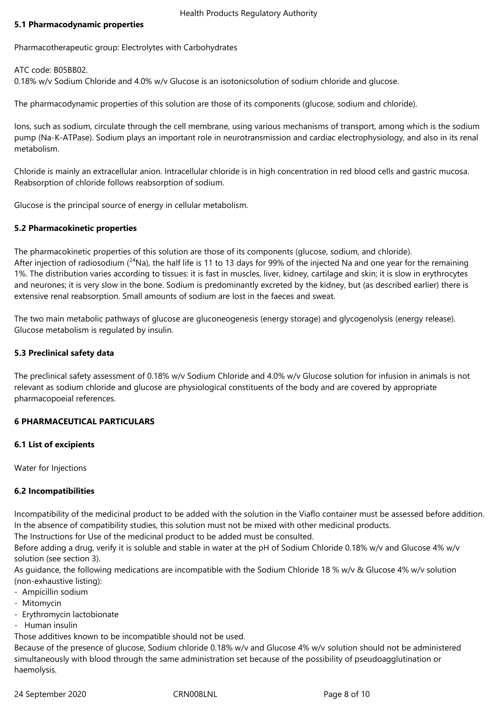#### **5.1 Pharmacodynamic properties**

Pharmacotherapeutic group: Electrolytes with Carbohydrates

ATC code: B05BB02.

0.18% w/v Sodium Chloride and 4.0% w/v Glucose is an isotonicsolution of sodium chloride and glucose.

The pharmacodynamic properties of this solution are those of its components (glucose, sodium and chloride).

Ions, such as sodium, circulate through the cell membrane, using various mechanisms of transport, among which is the sodium pump (Na-K-ATPase). Sodium plays an important role in neurotransmission and cardiac electrophysiology, and also in its renal metabolism.

Chloride is mainly an extracellular anion. Intracellular chloride is in high concentration in red blood cells and gastric mucosa. Reabsorption of chloride follows reabsorption of sodium.

Glucose is the principal source of energy in cellular metabolism.

## **5.2 Pharmacokinetic properties**

The pharmacokinetic properties of this solution are those of its components (glucose, sodium, and chloride). After injection of radiosodium ( $^{24}$ Na), the half life is 11 to 13 days for 99% of the injected Na and one year for the remaining 1%. The distribution varies according to tissues: it is fast in muscles, liver, kidney, cartilage and skin; it is slow in erythrocytes and neurones; it is very slow in the bone. Sodium is predominantly excreted by the kidney, but (as described earlier) there is extensive renal reabsorption. Small amounts of sodium are lost in the faeces and sweat.

The two main metabolic pathways of glucose are gluconeogenesis (energy storage) and glycogenolysis (energy release). Glucose metabolism is regulated by insulin.

#### **5.3 Preclinical safety data**

The preclinical safety assessment of 0.18% w/v Sodium Chloride and 4.0% w/v Glucose solution for infusion in animals is not relevant as sodium chloride and glucose are physiological constituents of the body and are covered by appropriate pharmacopoeial references.

#### **6 PHARMACEUTICAL PARTICULARS**

#### **6.1 List of excipients**

Water for Injections

# **6.2 Incompatibilities**

Incompatibility of the medicinal product to be added with the solution in the Viaflo container must be assessed before addition. In the absence of compatibility studies, this solution must not be mixed with other medicinal products.

The Instructions for Use of the medicinal product to be added must be consulted.

Before adding a drug, verify it is soluble and stable in water at the pH of Sodium Chloride 0.18% w/v and Glucose 4% w/v solution (see section 3).

As guidance, the following medications are incompatible with the Sodium Chloride 18 % w/v & Glucose 4% w/v solution (non-exhaustive listing):

- Ampicillin sodium
- Mitomycin
- Erythromycin lactobionate
- Human insulin

Those additives known to be incompatible should not be used.

Because of the presence of glucose, Sodium chloride 0.18% w/v and Glucose 4% w/v solution should not be administered simultaneously with blood through the same administration set because of the possibility of pseudoagglutination or haemolysis.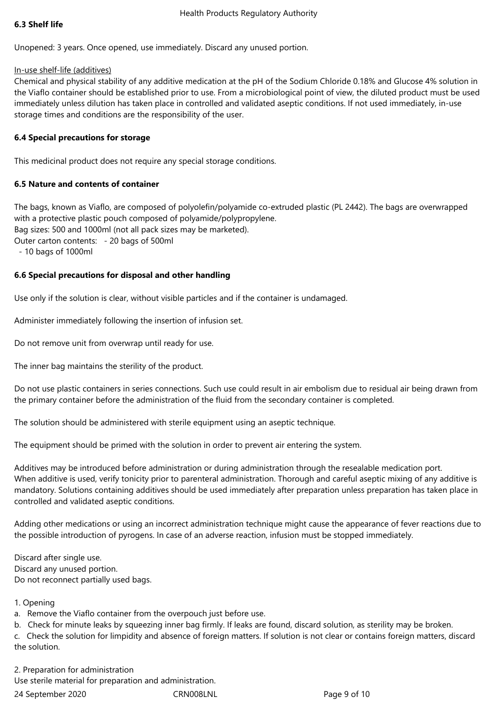## **6.3 Shelf life**

Unopened: 3 years. Once opened, use immediately. Discard any unused portion.

In-use shelf-life (additives)

Chemical and physical stability of any additive medication at the pH of the Sodium Chloride 0.18% and Glucose 4% solution in the Viaflo container should be established prior to use. From a microbiological point of view, the diluted product must be used immediately unless dilution has taken place in controlled and validated aseptic conditions. If not used immediately, in-use storage times and conditions are the responsibility of the user.

# **6.4 Special precautions for storage**

This medicinal product does not require any special storage conditions.

## **6.5 Nature and contents of container**

The bags, known as Viaflo, are composed of polyolefin/polyamide co-extruded plastic (PL 2442). The bags are overwrapped with a protective plastic pouch composed of polyamide/polypropylene. Bag sizes: 500 and 1000ml (not all pack sizes may be marketed). Outer carton contents: - 20 bags of 500ml - 10 bags of 1000ml

# **6.6 Special precautions for disposal and other handling**

Use only if the solution is clear, without visible particles and if the container is undamaged.

Administer immediately following the insertion of infusion set.

Do not remove unit from overwrap until ready for use.

The inner bag maintains the sterility of the product.

Do not use plastic containers in series connections. Such use could result in air embolism due to residual air being drawn from the primary container before the administration of the fluid from the secondary container is completed.

The solution should be administered with sterile equipment using an aseptic technique.

The equipment should be primed with the solution in order to prevent air entering the system.

Additives may be introduced before administration or during administration through the resealable medication port. When additive is used, verify tonicity prior to parenteral administration. Thorough and careful aseptic mixing of any additive is mandatory. Solutions containing additives should be used immediately after preparation unless preparation has taken place in controlled and validated aseptic conditions.

Adding other medications or using an incorrect administration technique might cause the appearance of fever reactions due to the possible introduction of pyrogens. In case of an adverse reaction, infusion must be stopped immediately.

Discard after single use. Discard any unused portion. Do not reconnect partially used bags.

# 1. Opening

a. Remove the Viaflo container from the overpouch just before use.

b. Check for minute leaks by squeezing inner bag firmly. If leaks are found, discard solution, as sterility may be broken.

c. Check the solution for limpidity and absence of foreign matters. If solution is not clear or contains foreign matters, discard the solution.

2. Preparation for administration

Use sterile material for preparation and administration.

24 September 2020 CRN008LNL Page 9 of 10